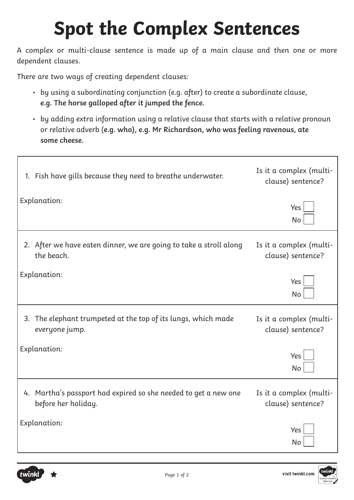# **Spot the Complex Sentences**

A complex or multi-clause sentence is made up of a main clause and then one or more dependent clauses.

There are two ways of creating dependent clauses:

- by using a subordinating conjunction (e.g. after) to create a subordinate clause, **e.g. The horse galloped after it jumped the fence.**
- by adding extra information using a relative clause that starts with a relative pronoun or relative adverb (**e.g. who), e.g. Mr Richardson, who was feeling ravenous, ate some cheese.**

| 1. Fish have gills because they need to breathe underwater.                            | Is it a complex (multi-<br>clause) sentence? |
|----------------------------------------------------------------------------------------|----------------------------------------------|
| Explanation:                                                                           | Yes<br><b>No</b>                             |
| 2. After we have eaten dinner, we are going to take a stroll along<br>the beach.       | Is it a complex (multi-<br>clause) sentence? |
| Explanation:                                                                           | Yes<br>No                                    |
| 3. The elephant trumpeted at the top of its lungs, which made<br>everyone jump.        | Is it a complex (multi-<br>clause) sentence? |
| Explanation:                                                                           | Yes<br>No                                    |
| 4. Martha's passport had expired so she needed to get a new one<br>before her holiday. | Is it a complex (multi-<br>clause) sentence? |
| Explanation:                                                                           | Yes<br>No                                    |

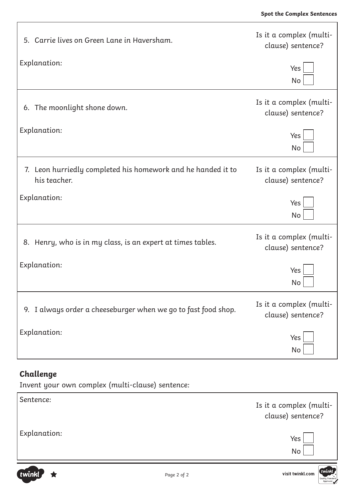Ĕ.

| 5. Carrie lives on Green Lane in Haversham.                                  | Is it a complex (multi-<br>clause) sentence? |  |
|------------------------------------------------------------------------------|----------------------------------------------|--|
| Explanation:                                                                 | Yes<br>No                                    |  |
| 6. The moonlight shone down.                                                 | Is it a complex (multi-<br>clause) sentence? |  |
| Explanation:                                                                 | Yes<br>No                                    |  |
| 7. Leon hurriedly completed his homework and he handed it to<br>his teacher. | Is it a complex (multi-<br>clause) sentence? |  |
| Explanation:                                                                 | Yes<br>No                                    |  |
| 8. Henry, who is in my class, is an expert at times tables.                  | Is it a complex (multi-<br>clause) sentence? |  |
| Explanation:                                                                 | Yes<br>No                                    |  |
| 9. I always order a cheeseburger when we go to fast food shop.               | Is it a complex (multi-<br>clause) sentence? |  |
| Explanation:                                                                 | Yes<br>No                                    |  |

#### **Challenge**

Г

Invent your own complex (multi-clause) sentence:

| Sentence:    | Is it a complex (multi-<br>clause) sentence? |
|--------------|----------------------------------------------|
| Explanation: | Yes<br>No                                    |

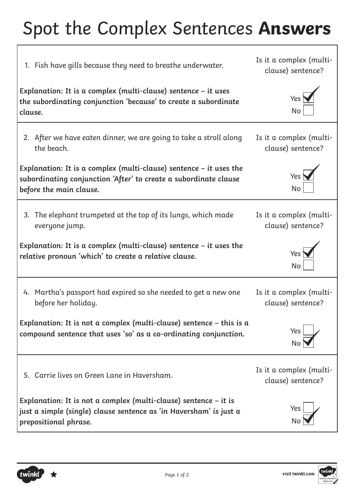# Spot the Complex Sentences **Answers**

| Is it a complex (multi-<br>1. Fish have gills because they need to breathe underwater.<br>clause) sentence?                                                         |                                              |
|---------------------------------------------------------------------------------------------------------------------------------------------------------------------|----------------------------------------------|
| Explanation: It is a complex (multi-clause) sentence - it uses<br>the subordinating conjunction 'because' to create a subordinate<br>clause.                        | Yes<br>No                                    |
| 2. After we have eaten dinner, we are going to take a stroll along<br>the beach.                                                                                    | Is it a complex (multi-<br>clause) sentence? |
| Explanation: It is a complex (multi-clause) sentence $-$ it uses the<br>subordinating conjunction 'After' to create a subordinate clause<br>before the main clause. | No                                           |
| 3. The elephant trumpeted at the top of its lungs, which made<br>everyone jump.                                                                                     | Is it a complex (multi-<br>clause) sentence? |
| Explanation: It is a complex (multi-clause) sentence $-$ it uses the<br>relative pronoun 'which' to create a relative clause.                                       | No                                           |
| 4. Martha's passport had expired so she needed to get a new one<br>before her holiday.                                                                              | Is it a complex (multi-<br>clause) sentence? |
| Explanation: It is not a complex (multi-clause) sentence $-$ this is a<br>compound sentence that uses 'so' as a co-ordinating conjunction.                          | Yes<br>No                                    |
| 5. Carrie lives on Green Lane in Haversham.                                                                                                                         | Is it a complex (multi-<br>clause) sentence? |
| Explanation: It is not a complex (multi-clause) sentence $-$ it is<br>just a simple (single) clause sentence as 'in Haversham' is just a<br>prepositional phrase.   | Yes.<br>No                                   |

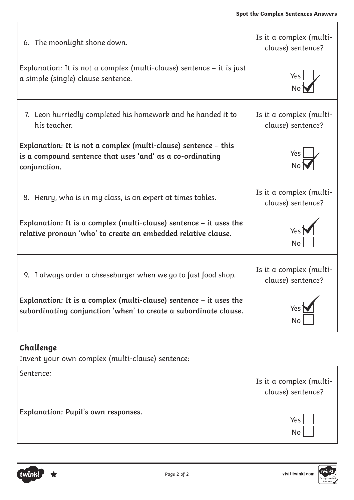٦

| Is it a complex (multi-<br>6. The moonlight shone down.<br>clause) sentence?                                                                 |                                              |
|----------------------------------------------------------------------------------------------------------------------------------------------|----------------------------------------------|
| Explanation: It is not a complex (multi-clause) sentence $-$ it is just<br>a simple (single) clause sentence.                                | Yes                                          |
| 7. Leon hurriedly completed his homework and he handed it to<br>his teacher.                                                                 | Is it a complex (multi-<br>clause) sentence? |
| Explanation: It is not a complex (multi-clause) sentence - this<br>is a compound sentence that uses 'and' as a co-ordinating<br>conjunction. | Yes                                          |
| 8. Henry, who is in my class, is an expert at times tables.                                                                                  | Is it a complex (multi-<br>clause) sentence? |
| Explanation: It is a complex (multi-clause) sentence $-$ it uses the<br>relative pronoun 'who' to create an embedded relative clause.        | <b>Yes</b><br><b>No</b>                      |
| 9. I always order a cheeseburger when we go to fast food shop.                                                                               | Is it a complex (multi-<br>clause) sentence? |
| Explanation: It is a complex (multi-clause) sentence - it uses the<br>subordinating conjunction 'when' to create a subordinate clause.       | <b>No</b>                                    |

### **Challenge**

Invent your own complex (multi-clause) sentence:

Sentence: Is it a complex (multiclause) sentence? **Explanation: Pupil's own responses.** Yes No

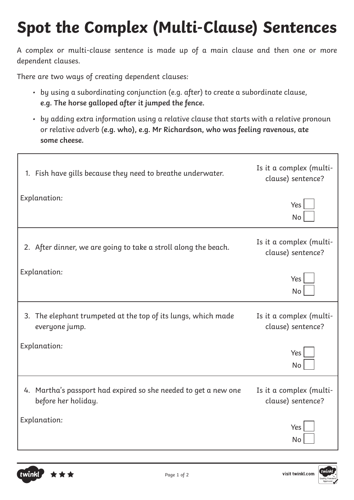## **Spot the Complex (Multi-Clause) Sentences**

A complex or multi-clause sentence is made up of a main clause and then one or more dependent clauses.

There are two ways of creating dependent clauses:

- by using a subordinating conjunction (e.g. after) to create a subordinate clause, **e.g. The horse galloped after it jumped the fence.**
- by adding extra information using a relative clause that starts with a relative pronoun or relative adverb (**e.g. who), e.g. Mr Richardson, who was feeling ravenous, ate some cheese.**

| 1. Fish have gills because they need to breathe underwater.                            | Is it a complex (multi-<br>clause) sentence? |
|----------------------------------------------------------------------------------------|----------------------------------------------|
| <b>Explanation:</b>                                                                    | Yes<br><b>No</b>                             |
| 2. After dinner, we are going to take a stroll along the beach.                        | Is it a complex (multi-<br>clause) sentence? |
| <b>Explanation:</b>                                                                    | Yes<br><b>No</b>                             |
| 3. The elephant trumpeted at the top of its lungs, which made<br>everyone jump.        | Is it a complex (multi-<br>clause) sentence? |
| <b>Explanation:</b>                                                                    | Yes<br>No                                    |
| 4. Martha's passport had expired so she needed to get a new one<br>before her holiday. | Is it a complex (multi-<br>clause) sentence? |
| Explanation:                                                                           | Yes                                          |



twinkl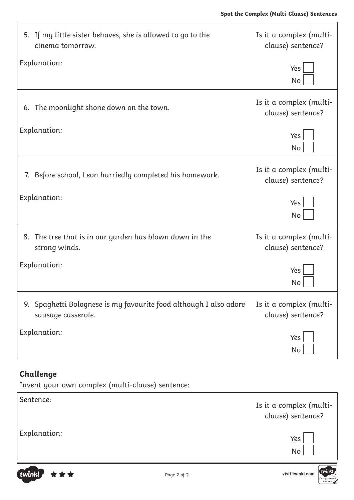| 5. If my little sister behaves, she is allowed to go to the<br>cinema tomorrow.         | Is it a complex (multi-<br>clause) sentence? |
|-----------------------------------------------------------------------------------------|----------------------------------------------|
| Explanation:                                                                            | Yes<br>No                                    |
| 6. The moonlight shone down on the town.                                                | Is it a complex (multi-<br>clause) sentence? |
| Explanation:                                                                            | Yes<br>No                                    |
| 7. Before school, Leon hurriedly completed his homework.                                | Is it a complex (multi-<br>clause) sentence? |
| Explanation:                                                                            | Yes<br><b>No</b>                             |
| 8. The tree that is in our garden has blown down in the<br>strong winds.                | Is it a complex (multi-<br>clause) sentence? |
| Explanation:                                                                            | Yes<br>No                                    |
| 9. Spaghetti Bolognese is my favourite food although I also adore<br>sausage casserole. | Is it a complex (multi-<br>clause) sentence? |
| <b>Explanation:</b>                                                                     | Yes<br>No                                    |

### **Challenge**

Invent your own complex (multi-clause) sentence:

| Sentence:    | Is it a complex (multi-<br>clause) sentence? |
|--------------|----------------------------------------------|
| Explanation: | Yes<br>No                                    |

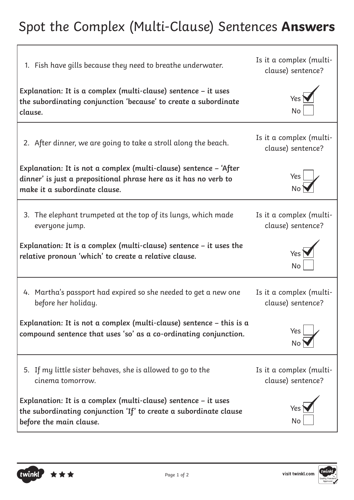### Spot the Complex (Multi-Clause) Sentences **Answers**

| 1. Fish have gills because they need to breathe underwater.                                                                                                            | Is it a complex (multi-<br>clause) sentence? |
|------------------------------------------------------------------------------------------------------------------------------------------------------------------------|----------------------------------------------|
| Explanation: It is a complex (multi-clause) sentence - it uses<br>the subordinating conjunction 'because' to create a subordinate<br>clause.                           | Yes <sup>'</sup><br>No                       |
| 2. After dinner, we are going to take a stroll along the beach.                                                                                                        | Is it a complex (multi-<br>clause) sentence? |
| Explanation: It is not a complex (multi-clause) sentence - 'After<br>dinner' is just a prepositional phrase here as it has no verb to<br>make it a subordinate clause. | Yes                                          |
| 3. The elephant trumpeted at the top of its lungs, which made                                                                                                          | Is it a complex (multi-                      |
| everyone jump.                                                                                                                                                         | clause) sentence?                            |
| Explanation: It is a complex (multi-clause) sentence $-$ it uses the                                                                                                   | Yes <sup>-</sup>                             |
| relative pronoun 'which' to create a relative clause.                                                                                                                  | No                                           |
| 4. Martha's passport had expired so she needed to get a new one                                                                                                        | Is it a complex (multi-                      |
| before her holiday.                                                                                                                                                    | clause) sentence?                            |
| Explanation: It is not a complex (multi-clause) sentence $-$ this is a                                                                                                 | Yes                                          |
| compound sentence that uses 'so' as a co-ordinating conjunction.                                                                                                       | <b>No</b>                                    |
| 5. If my little sister behaves, she is allowed to go to the                                                                                                            | Is it a complex (multi-                      |
| cinema tomorrow.                                                                                                                                                       | clause) sentence?                            |
| Explanation: It is a complex (multi-clause) sentence - it uses<br>the subordinating conjunction 'If' to create a subordinate clause<br>before the main clause.         | Yes<br>No                                    |



twinkl